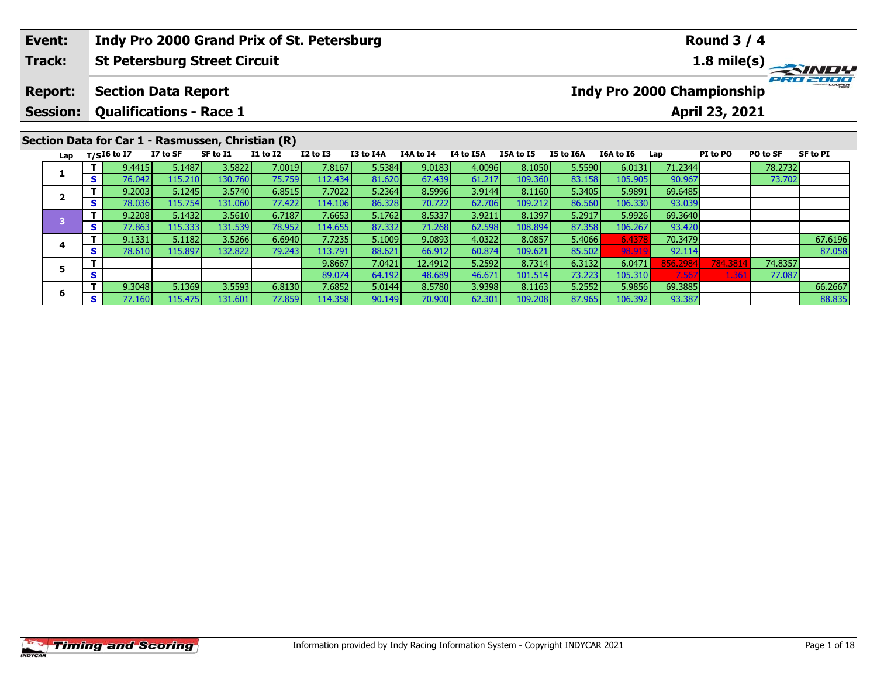| Event:                  |                                                   |                                |          | Indy Pro 2000 Grand Prix of St. Petersburg |                 |                 |           |           |           |           |                  |                                   |         | <b>Round 3 / 4</b> |          |          |
|-------------------------|---------------------------------------------------|--------------------------------|----------|--------------------------------------------|-----------------|-----------------|-----------|-----------|-----------|-----------|------------------|-----------------------------------|---------|--------------------|----------|----------|
| Track:                  |                                                   |                                |          | <b>St Petersburg Street Circuit</b>        |                 |                 |           |           |           |           |                  |                                   |         |                    |          |          |
| <b>Report:</b>          |                                                   | <b>Section Data Report</b>     |          |                                            |                 |                 |           |           |           |           |                  | <b>Indy Pro 2000 Championship</b> |         |                    |          | PRO 2000 |
| <b>Session:</b>         |                                                   | <b>Qualifications - Race 1</b> |          |                                            |                 |                 |           |           |           |           |                  |                                   |         | April 23, 2021     |          |          |
|                         | Section Data for Car 1 - Rasmussen, Christian (R) |                                |          |                                            |                 |                 |           |           |           |           |                  |                                   |         |                    |          |          |
|                         |                                                   | Lap $T/SI6$ to I7              | I7 to SF | SF to I1                                   | <b>I1 to I2</b> | <b>I2 to I3</b> | I3 to I4A | I4A to I4 | I4 to I5A | I5A to I5 | <b>I5 to I6A</b> | I6A to I6                         | Lap     | PI to PO           | PO to SF | SF to PI |
|                         |                                                   | 9.4415                         | 5.1487   | 3.5822                                     | 7.0019          | 7.8167          | 5.5384    | 9.0183    | 4.0096    | 8.1050    | 5.5590           | 6.0131                            | 71.2344 |                    | 78.2732  |          |
|                         | S.                                                | 76.042                         | 115.210  | 130.760                                    | 75.759          | 112.434         | 81.620    | 67.439    | 61.217    | 109.360   | 83.158           | 105.905                           | 90.967  |                    | 73.702   |          |
| $\overline{\mathbf{2}}$ |                                                   | 9.2003                         | 5.1245   | 3.5740                                     | 6.8515          | 7.7022          | 5.2364    | 8.5996    | 3.9144    | 8.1160    | 5.3405           | 5.9891                            | 69.6485 |                    |          |          |
|                         | <b>S</b>                                          | 78.036                         | 115.754  | 131.060                                    | 77.422          | 114.106         | 86.328    | 70.722    | 62.706    | 109.212   | 86.560           | 106.330                           | 93.039  |                    |          |          |
|                         | $\mathbf{T}$                                      | 9.2208                         | 5.1432   | 3.5610                                     | 6.7187          | 7.6653          | 5.1762    | 8.5337    | 3.9211    | 8.1397    | 5.2917           | 5.9926                            | 69.3640 |                    |          |          |
|                         | <b>S</b>                                          | 77.863                         | 115.333  | 131.539                                    | 78.952          | 114.655         | 87.332    | 71.268    | 62.598    | 108.894   | 87.358           | 106.267                           | 93.420  |                    |          |          |
| $\overline{\mathbf{3}}$ |                                                   |                                |          |                                            |                 |                 |           |           |           |           |                  |                                   |         |                    |          |          |

|  | Lap |    | $I/S$ 10 to 17 | 17 TO 31 | 21 10 TT  | 17 LO 17 | 12 TO 13  | 13 TO 14A | 14A TO 14 | 14 TO 15A | כז 10 אכז | 12 IQ 10H | <b>10A TO 10</b> | Lap     | PI TO PU | PU TO SF | SF TO FL |
|--|-----|----|----------------|----------|-----------|----------|-----------|-----------|-----------|-----------|-----------|-----------|------------------|---------|----------|----------|----------|
|  |     |    | 9.4415         | 5.1487   | 3.5822    | 7.0019   | 7.8167    | 5.5384    | 9.0183    | 4.0096    | 8.1050    | 5.5590    | 6.0131           | 71.2344 |          | 78.2732  |          |
|  |     |    | 76.042         | 115.210  | 130.760   | 75.759   | 112.434   | 81.620    | 67.439    | 61.217    | 109.360   | 83.158    | 105.905          | 90.967  |          | 73.702   |          |
|  |     |    | 9.2003         | 5.1245   | 3.5740    | 6.8515   | 7.7022    | 5.2364    | 8.5996    | 3.9144    | 8.1160    | 5.3405    | 5.9891           | 69.6485 |          |          |          |
|  |     | S. | 78.036         | 115.754  | 131.060   | 77.422   | 114.106   | 86.328    | 70.722    | 62.706    | 109.212   | 86.560    | 106.330          | 93.039  |          |          |          |
|  |     |    | 9.2208         | 5.1432   | 3.5610    | 6.7187   | 7.6653    | 5.1762    | 8.5337    | 3.9211    | 8.1397    | 5.2917    | 5.9926           | 69.3640 |          |          |          |
|  |     | ъ. | 77.863         | 115.333  | 131.539   | 78.952   | 114.655   | 87.332    | 71.268    | 62.598    | 108.894   | 87.358    | 106.267          | 93.420  |          |          |          |
|  |     |    | 9.1331         | 5.1182   | 3.5266    | 6.6940   | 7.7235    | 5.1009    | 9.0893    | 4.0322    | 8.0857    | 5.4066    | 6.4378           | 70.3479 |          |          | 67.6196  |
|  |     |    | 78.610         | 115.897  | 132.822   | 79.243   | 113.791   | 88.621    | 66.912    | 60.874    | 109.621   | 85.502    | 98.919           | 92.114  |          |          | 87.058   |
|  |     |    |                |          |           |          | 9.8667    | 7.0421    | 12.49121  | 5.2592    | 8.7314    | 6.3132    | 6.0471           | 856.298 | 784.3814 | 74.8357  |          |
|  |     |    |                |          |           |          | 89.074    | 64.192    | 48.689    | 46.671    | 101.514   | 73.223    | 105.310          | 7.567   | 1.361    | 77.087   |          |
|  | п   |    | 9.3048         | 5.1369   | 3.5593    | 6.8130   | 7.6852    | 5.0144    | 8.5780    | 3.9398    | 8.1163    | 5.2552    | 5.9856           | 69.3885 |          |          | 66.2667  |
|  |     |    | 77.160 l       | 115.475  | 131.601 l | 77.859   | 114.358 l | 90.149    | 70.900 l  | 62.301    | 109.208   | 87.965    | 106.392          | 93.387  |          |          | 88.835   |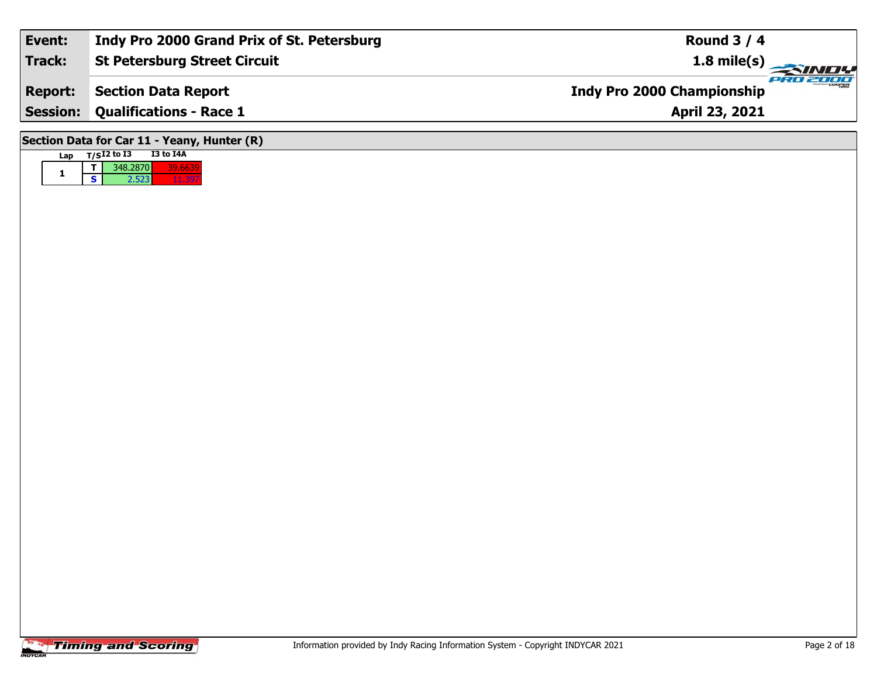| Event:          | Indy Pro 2000 Grand Prix of St. Petersburg  | Round $3/4$                            |
|-----------------|---------------------------------------------|----------------------------------------|
| Track:          | <b>St Petersburg Street Circuit</b>         | $1.8 \text{ mile(s)}$                  |
| <b>Report:</b>  | <b>Section Data Report</b>                  | PRO 2000<br>Indy Pro 2000 Championship |
| <b>Session:</b> | <b>Qualifications - Race 1</b>              | April 23, 2021                         |
|                 | Section Data for Car 11 - Yeany, Hunter (R) |                                        |
| Lap             | T/SI2 to I3<br>I3 to I4A                    |                                        |

**1**

**<sup>T</sup>** 348.2870 39.6639 **<sup>S</sup>** 2.523 11.397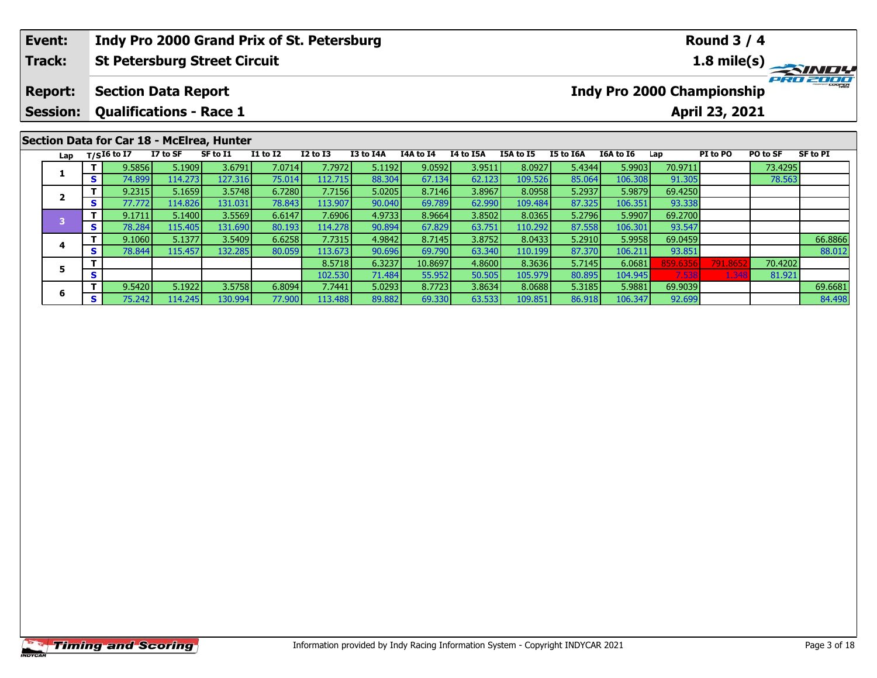|                                                                                                                                        | Event: |          |                   |          |                                           |                 | Indy Pro 2000 Grand Prix of St. Petersburg |           |           |                  |                  |           |           |         | <b>Round 3 / 4</b> |          |              |
|----------------------------------------------------------------------------------------------------------------------------------------|--------|----------|-------------------|----------|-------------------------------------------|-----------------|--------------------------------------------|-----------|-----------|------------------|------------------|-----------|-----------|---------|--------------------|----------|--------------|
|                                                                                                                                        | Track: |          |                   |          | <b>St Petersburg Street Circuit</b>       |                 |                                            |           |           |                  |                  |           |           |         | 1.8 mile(s)        |          | <b>SINDY</b> |
| <b>Indy Pro 2000 Championship</b><br><b>Report:</b><br><b>Section Data Report</b><br><b>Session:</b><br><b>Qualifications - Race 1</b> |        |          |                   |          |                                           |                 |                                            |           |           |                  | April 23, 2021   |           | PRO 2000  |         |                    |          |              |
|                                                                                                                                        |        |          |                   |          | Section Data for Car 18 - McElrea, Hunter |                 |                                            |           |           |                  |                  |           |           |         |                    |          |              |
|                                                                                                                                        |        |          | Lap $T/SI6$ to I7 | I7 to SF | SF to I1                                  | <b>I1 to I2</b> | $I2$ to $I3$                               | I3 to I4A | I4A to I4 | <b>I4 to I5A</b> | <b>I5A to I5</b> | I5 to I6A | I6A to I6 | Lap     | PI to PO           | PO to SF | SF to PI     |
|                                                                                                                                        |        |          | 9.5856            | 5.1909   | 3.6791                                    | 7.0714          | 7.7972                                     | 5.1192    | 9.0592    | 3.9511           | 8.0927           | 5.4344    | 5.9903    | 70.9711 |                    | 73.4295  |              |
|                                                                                                                                        |        | <b>S</b> | 74.899            | 114.273  | 127.316                                   | 75.014          | 112.715                                    | 88.304    | 67.134    | 62.123           | 109.526          | 85.064    | 106.308   | 91.305  |                    | 78.563   |              |

| Lap |    | $T/SI6$ to I7   | I7 to SF | SF to I1 | <b>I1 to I2</b> | $I2$ to $I3$ | I3 to I4A | <b>I4A to I4</b> | I4 to I5A | I5A to I5 | I5 to I6A | I6A to I6 | Lap      | PI to PO | PO to SF | SF to PI |
|-----|----|-----------------|----------|----------|-----------------|--------------|-----------|------------------|-----------|-----------|-----------|-----------|----------|----------|----------|----------|
|     |    | 9.5856          | 5.1909   | 3.6791   | 7.0714          | 7.7972       | 5.1192    | 9.0592           | 3.9511    | 8.0927    | 5.4344    | 5.9903    | 70.9711  |          | 73.4295  |          |
|     | S  | 74.899          | 114.273  | 127.316  | 75.014          | 112.715      | 88.304    | 67.134           | 62.123    | 109.526   | 85.064    | 106.308   | 91.305   |          | 78.563   |          |
|     |    | 9.2315          | 5.1659   | 3.5748   | 6.7280          | 7.7156       | 5.0205    | 8.7146           | 3.8967    | 8.0958    | 5.2937    | 5.9879    | 69.4250  |          |          |          |
|     | S. | 77.772 <b>1</b> | 114.826  | 131.031  | 78.843          | 113.907      | 90.040    | 69.789           | 62.990    | 109.484   | 87.325    | 106.351   | 93.338   |          |          |          |
|     |    | 9.1711          | 5.1400   | 3.5569   | 6.6147          | 7.6906       | 4.9733    | 8.9664           | 3.8502    | 8.0365    | 5.2796    | 5.9907    | 69.2700  |          |          |          |
|     | S. | 78.284          | 115.405  | 131.690  | 80.193          | 114.278      | 90.894    | 67.829           | 63.751    | 110.292   | 87.558    | 106.301   | 93.547   |          |          |          |
|     |    | 9.1060          | 5.1377   | 3.5409   | 6.6258          | 7.7315       | 4.9842    | 8.7145           | 3.8752    | 8.0433    | 5.2910    | 5.9958    | 69.0459  |          |          | 66.8866  |
|     | S. | 78.844 <b>I</b> | 115.457  | 132.285  | 80.059          | 113.673      | 90.696    | 69.790           | 63.340    | 110.199   | 87.370    | 106.211   | 93.851   |          |          | 88.012   |
|     |    |                 |          |          |                 | 8.5718       | 6.3237    | 10.8697          | 4.8600    | 8.3636    | 5.7145    | 6.0681    | 859.6356 | 791.8652 | 70.4202  |          |
|     | s. |                 |          |          |                 | 102.530      | 71.484    | 55.952           | 50.505    | 105.979   | 80.895    | 104.945   | 7.538    | 1.348    | 81.921   |          |
|     |    | 9.5420          | 5.1922   | 3.5758   | 6.8094          | 7.7441       | 5.0293    | 8.7723           | 3.8634    | 8.0688    | 5.3185    | 5.9881    | 69.9039  |          |          | 69.6681  |
| b   | S. | 75.242          | 114.245  | 130.994  | 77.900          | 113.488      | 89.882    | 69.330           | 63.533    | 109.851   | 86.918    | 106.347   | 92.699   |          |          | 84.498   |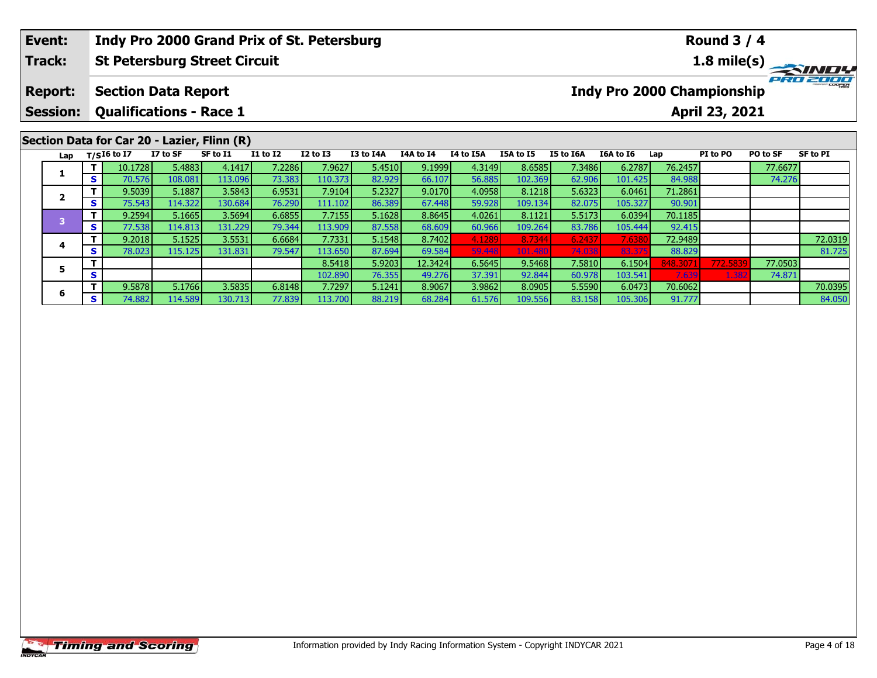| Event:                  |              |                                |          | Indy Pro 2000 Grand Prix of St. Petersburg              |                 |                 |           |           |           |           |           |                            |         | <b>Round 3 / 4</b> |          |          |
|-------------------------|--------------|--------------------------------|----------|---------------------------------------------------------|-----------------|-----------------|-----------|-----------|-----------|-----------|-----------|----------------------------|---------|--------------------|----------|----------|
| Track:                  |              |                                |          | <b>St Petersburg Street Circuit</b>                     |                 |                 |           |           |           |           |           |                            |         |                    |          |          |
| <b>Report:</b>          |              | <b>Section Data Report</b>     |          |                                                         |                 |                 |           |           |           |           |           | Indy Pro 2000 Championship |         |                    |          | PRO 2000 |
| <b>Session:</b>         |              | <b>Qualifications - Race 1</b> |          |                                                         |                 |                 |           |           |           |           |           |                            |         | April 23, 2021     |          |          |
| Lap                     |              | T/SI6 to I7                    | I7 to SF | Section Data for Car 20 - Lazier, Flinn (R)<br>SF to I1 | <b>I1 to I2</b> | <b>I2 to I3</b> | I3 to I4A | I4A to I4 | I4 to I5A | I5A to I5 | I5 to I6A | I6A to I6                  | Lap     | PI to PO           | PO to SF | SF to PI |
|                         |              | 10.1728                        | 5.4883   | 4.1417                                                  | 7.2286          | 7.9627          | 5.4510    | 9.1999    | 4.3149    | 8.6585    | 7.3486    | 6.2787                     | 76.2457 |                    | 77.6677  |          |
|                         | S.           | 70.576                         | 108.081  | 113.096                                                 | 73.383          | 110.373         | 82.929    | 66.107    | 56.885    | 102.369   | 62.906    | 101.425                    | 84.988  |                    | 74.276   |          |
| $\overline{\mathbf{2}}$ |              | 9.5039                         | 5.1887   | 3.5843                                                  | 6.9531          | 7.9104          | 5.2327    | 9.0170    | 4.0958    | 8.1218    | 5.6323    | 6.0461                     | 71.2861 |                    |          |          |
|                         | S.           | 75.543                         | 114.322  | 130.684                                                 | 76.290          | 111.102         | 86.389    | 67.448    | 59.928    | 109.134   | 82.075    | 105.327                    | 90.901  |                    |          |          |
| $\overline{\mathbf{3}}$ | $\mathbf{T}$ | 9.2594                         | 5.1665   | 3.5694                                                  | 6.6855          | 7.7155          | 5.1628    | 8.8645    | 4.0261    | 8.1121    | 5.5173    | 6.0394                     | 70.1185 |                    |          |          |
|                         | S I          | 77.538                         | 114.813  | 131.229                                                 | 79.344          | 113.909         | 87.558    | 68.609    | 60.966    | 109.264   | 83.786    | 105.444                    | 92.415  |                    |          |          |
|                         |              | 9.2018                         | 5.1525   | 3.5531                                                  | 6.6684          | 7.7331          | 5.1548    | 8.7402    |           | 8.7344    | 6.2437    | 7.6380                     | 72.9489 |                    |          | 72.0319  |

**<sup>T</sup>** 9.2018 5.1525 3.5531 6.6684 7.7331 5.1548 8.7402 4.1289 8.7344 6.2437 7.6380 72.9489 72.0319 **<sup>S</sup>** 78.023 115.125 131.831 79.547 113.650 87.694 69.584 59.448 101.480 74.038 83.375 88.829 81.725

**<sup>T</sup>** 9.5878 5.1766 3.5835 6.8148 7.7297 5.1241 8.9067 3.9862 8.0905 5.5590 6.0473 70.6062 70.0395 **<sup>S</sup>** 74.882 114.589 130.713 77.839 113.700 88.219 68.284 61.576 109.556 83.158 105.306 91.777 84.050

**<sup>T</sup>** 8.5418 5.9203 12.3424 6.5645 9.5468 7.5810 6.1504 848.3071 772.5839 77.0503 **<sup>S</sup>** 102.890 76.355 49.276 37.391 92.844 60.978 103.541 7.639 1.382 74.871

## **Timing and Scoring**

**4**

**5**

**6**

81.725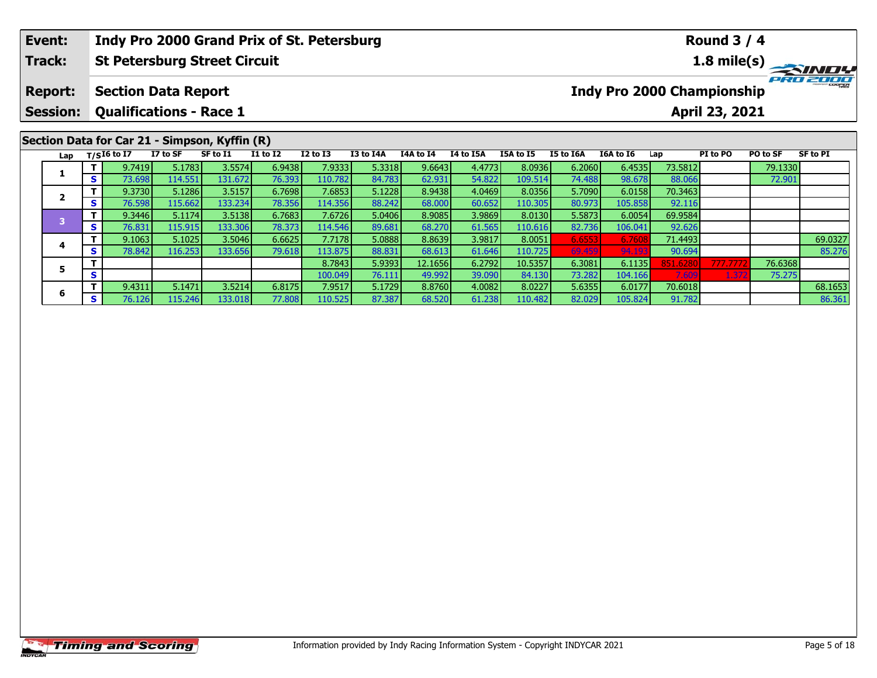|  | Event:                                             |              |             |                                | Indy Pro 2000 Grand Prix of St. Petersburg    |                 |              |           |           |           |                  |           |                                   |         | <b>Round 3 / 4</b> |          |          |
|--|----------------------------------------------------|--------------|-------------|--------------------------------|-----------------------------------------------|-----------------|--------------|-----------|-----------|-----------|------------------|-----------|-----------------------------------|---------|--------------------|----------|----------|
|  | Track:                                             |              |             |                                | <b>St Petersburg Street Circuit</b>           |                 |              |           |           |           |                  |           |                                   |         |                    |          |          |
|  | <b>Report:</b>                                     |              |             | <b>Section Data Report</b>     |                                               |                 |              |           |           |           |                  |           | <b>Indy Pro 2000 Championship</b> |         |                    |          | PRO 2000 |
|  | <b>Session:</b>                                    |              |             | <b>Qualifications - Race 1</b> |                                               |                 |              |           |           |           |                  |           |                                   |         | April 23, 2021     |          |          |
|  |                                                    |              |             |                                | Section Data for Car 21 - Simpson, Kyffin (R) |                 |              |           |           |           |                  |           |                                   |         |                    |          |          |
|  | Lap                                                |              | T/SI6 to I7 | I7 to SF                       | SF to I1                                      | <b>I1 to I2</b> | $I2$ to $I3$ | I3 to I4A | I4A to I4 | I4 to I5A | <b>I5A to I5</b> | I5 to I6A | I6A to I6                         | Lap     | PI to PO           | PO to SF | SF to PI |
|  | -1                                                 |              | 9.7419      | 5.1783                         | 3.5574                                        | 6.9438          | 7.9333       | 5.3318    | 9.6643    | 4.4773    | 8.0936           | 6.2060    | 6.4535                            | 73.5812 |                    | 79.1330  |          |
|  |                                                    | S.           | 73.698      | 114.551                        | 131.672                                       | 76.393          | 110.782      | 84.783    | 62.931    | 54.822    | 109.514          | 74.488    | 98.678                            | 88.066  |                    | 72.901   |          |
|  |                                                    |              | 9.3730      | 5.1286                         | 3.5157                                        | 6.7698          | 7.6853       | 5.1228    | 8.9438    | 4.0469    | 8.0356           | 5.7090    | 6.0158                            | 70.3463 |                    |          |          |
|  | $\overline{\mathbf{2}}$<br>$\overline{\mathbf{3}}$ | <b>S</b>     | 76.598      | 115.662                        | 133.234                                       | 78.356          | 114.356      | 88.242    | 68.000    | 60.652    | 110.305          | 80.973    | 105.858                           | 92.116  |                    |          |          |
|  |                                                    |              | 9.3446      | 5.1174                         | 3.5138                                        | 6.7683          | 7.6726       | 5.0406    | 8.9085    | 3.9869    | 8.0130           | 5.5873    | 6.0054                            | 69.9584 |                    |          |          |
|  |                                                    | <b>S</b>     | 76.831      | 115.915                        | 133.306                                       | 78.373          | 114.546      | 89.681    | 68.270    | 61.565    | 110.616          | 82.736    | 106.041                           | 92.626  |                    |          |          |
|  |                                                    | $\mathbf{T}$ | 9.1063      | 5.1025                         | 3.5046                                        | 6.6625          | 7.7178       | 5.0888    | 8.8639    | 3.9817    | 8.0051           | 6.6553    | 6.7608                            | 71.4493 |                    |          | 69.0327  |

**<sup>T</sup>** 9.1063 5.1025 3.5046 6.6625 7.7178 5.0888 8.8639 3.9817 8.0051 6.6553 6.7608 71.4493 69.0327 **<sup>S</sup>** 78.842 116.253 133.656 79.618 113.875 88.831 68.613 61.646 110.725 69.459 94.193 90.694 85.276

**<sup>T</sup>** 9.4311 5.1471 3.5214 6.8175 7.9517 5.1729 8.8760 4.0082 8.0227 5.6355 6.0177 70.6018 68.1653 **<sup>S</sup>** 76.126 115.246 133.018 77.808 110.525 87.387 68.520 61.238 110.482 82.029 105.824 91.782 86.361

**<sup>T</sup>** 8.7843 5.9393 12.1656 6.2792 10.5357 6.3081 6.1135 851.6280 777.7772 76.6368 **<sup>S</sup>** 100.049 76.111 49.992 39.090 84.130 73.282 104.166 7.609 1.372 75.275

## **Timing and Scoring**

**4**

**5**

**6**

85.276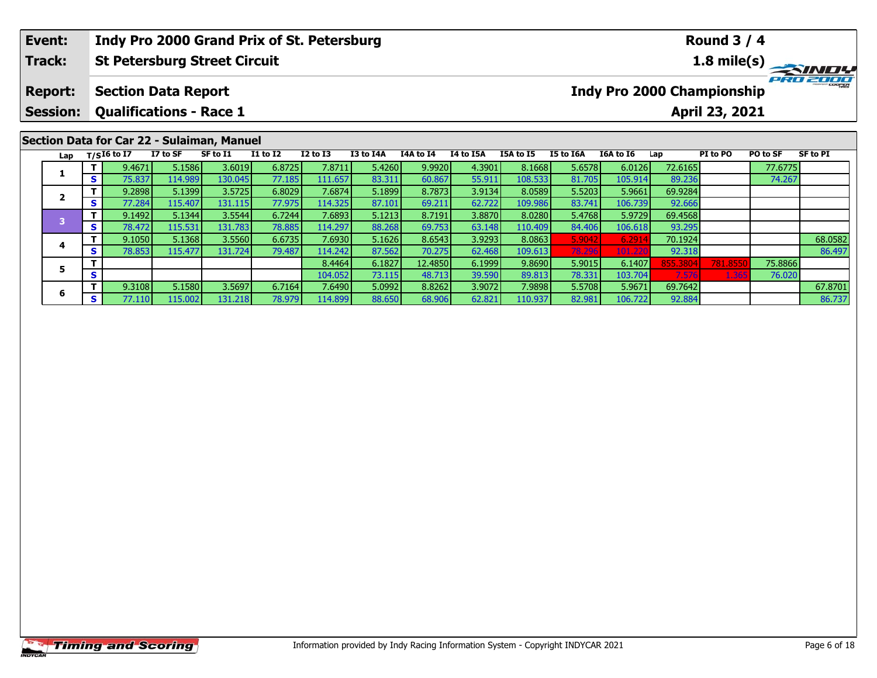| Event:                                                                         |     |                                |          | Indy Pro 2000 Grand Prix of St. Petersburg |                 |                 |           |           |           |                  |           |                                   |         | <b>Round 3 / 4</b> |                 |                 |
|--------------------------------------------------------------------------------|-----|--------------------------------|----------|--------------------------------------------|-----------------|-----------------|-----------|-----------|-----------|------------------|-----------|-----------------------------------|---------|--------------------|-----------------|-----------------|
| Track:                                                                         |     |                                |          | <b>St Petersburg Street Circuit</b>        |                 |                 |           |           |           |                  |           |                                   |         |                    |                 |                 |
| <b>Section Data Report</b><br><b>Report:</b><br><b>Qualifications - Race 1</b> |     |                                |          |                                            |                 |                 |           |           |           |                  |           | <b>Indy Pro 2000 Championship</b> |         |                    |                 | <b>PRO 2008</b> |
| <b>Session:</b>                                                                |     |                                |          |                                            |                 |                 |           |           |           |                  |           |                                   |         | April 23, 2021     |                 |                 |
|                                                                                |     |                                |          |                                            |                 |                 |           |           |           |                  |           |                                   |         |                    |                 |                 |
|                                                                                |     |                                |          | Section Data for Car 22 - Sulaiman, Manuel |                 |                 |           |           |           |                  |           |                                   |         |                    |                 |                 |
|                                                                                |     | Lap $T/SI6$ to $\overline{I7}$ | I7 to SF | SF to I1                                   | <b>I1 to I2</b> | <b>I2 to I3</b> | I3 to I4A | I4A to I4 | I4 to I5A | <b>I5A to I5</b> | I5 to I6A | I6A to I6                         | Lap     | PI to PO           | <b>PO to SF</b> | SF to PI        |
|                                                                                |     | 9.4671                         | 5.1586   | 3.6019                                     | 6.8725          | 7.8711          | 5.4260    | 9.9920    | 4.3901    | 8.1668           | 5.6578    | 6.0126                            | 72.6165 |                    | 77.6775         |                 |
| л.                                                                             | S I | 75.837                         | 114.989  | 130.045                                    | 77.185          | 111.657         | 83.311    | 60.867    | 55.911    | 108.533          | 81.705    | 105.914                           | 89.236  |                    | 74.267          |                 |

**<sup>T</sup>** 9.1050 5.1368 3.5560 6.6735 7.6930 5.1626 8.6543 3.9293 8.0863 5.9042 6.2914 70.1924 68.0582 **<sup>S</sup>** 78.853 115.477 131.724 79.487 114.242 87.562 70.275 62.468 109.613 78.296 101.220 92.318 86.497

**<sup>T</sup>** 9.3108 5.1580 3.5697 6.7164 7.6490 5.0992 8.8262 3.9072 7.9898 5.5708 5.9671 69.7642 67.8701 **<sup>S</sup>** 77.110 115.002 131.218 78.979 114.899 88.650 68.906 62.821 110.937 82.981 106.722 92.884 86.737

**<sup>T</sup>** 8.4464 6.1827 12.4850 6.1999 9.8690 5.9015 6.1407 855.3804 781.8550 75.8866 **<sup>S</sup>** 104.052 73.115 48.713 39.590 89.813 78.331 103.704 7.576 1.365 76.020

**<sup>T</sup>** 9.2898 5.1399 3.5725 6.8029 7.6874 5.1899 8.7873 3.9134 8.0589 5.5203 5.9661 69.9284 **<sup>S</sup>** 77.284 115.407 131.115 77.975 114.325 87.101 69.211 62.722 109.986 83.741 106.739 92.666

**<sup>T</sup>** 9.1492 5.1344 3.5544 6.7244 7.6893 5.1213 8.7191 3.8870 8.0280 5.4768 5.9729 69.4568 **<sup>S</sup>** 78.472 115.531 131.783 78.885 114.297 88.268 69.753 63.148 110.409 84.406 106.618 93.295

|                       | <b>Timing and Scoring</b> |
|-----------------------|---------------------------|
| <i><b>INDYCAR</b></i> |                           |

**2**

**4**

**5**

**6**

86.497

86.737

76.020

92.666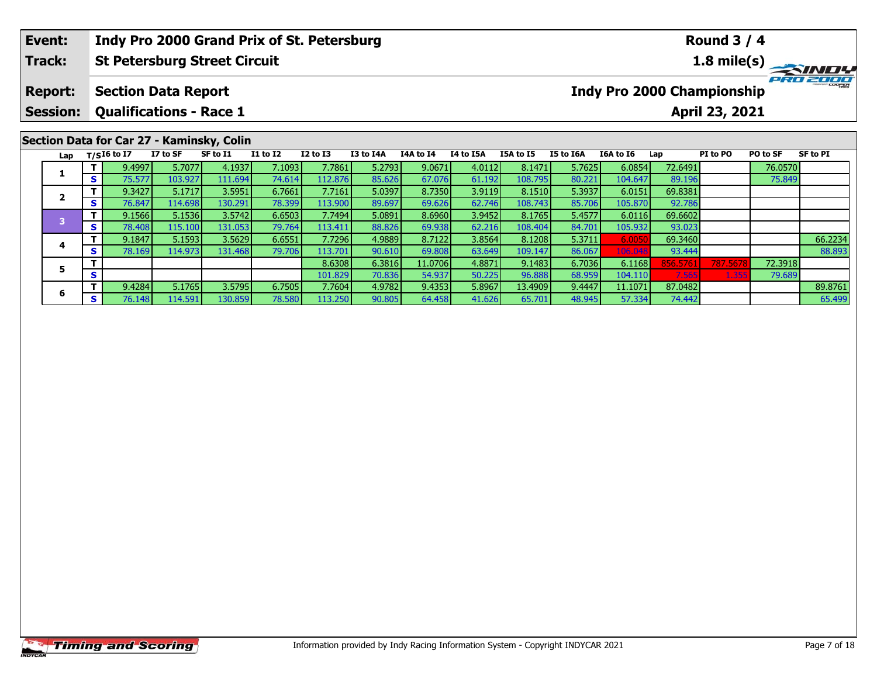|  | Event:          |          |             |                                | Indy Pro 2000 Grand Prix of St. Petersburg |              |                 |           |           |                  |                  |           |                                   |         | <b>Round 3 / 4</b>                     |          |              |
|--|-----------------|----------|-------------|--------------------------------|--------------------------------------------|--------------|-----------------|-----------|-----------|------------------|------------------|-----------|-----------------------------------|---------|----------------------------------------|----------|--------------|
|  | Track:          |          |             |                                | <b>St Petersburg Street Circuit</b>        |              |                 |           |           |                  |                  |           |                                   |         | $1.8$ mile(s) $\overline{\phantom{a}}$ |          | <b>SINDY</b> |
|  | <b>Report:</b>  |          |             | <b>Section Data Report</b>     |                                            |              |                 |           |           |                  |                  |           | <b>Indy Pro 2000 Championship</b> |         |                                        |          | PRO 2000     |
|  | <b>Session:</b> |          |             | <b>Qualifications - Race 1</b> |                                            |              |                 |           |           |                  |                  |           |                                   |         | April 23, 2021                         |          |              |
|  |                 |          |             |                                | Section Data for Car 27 - Kaminsky, Colin  |              |                 |           |           |                  |                  |           |                                   |         |                                        |          |              |
|  | Lap             |          | T/SI6 to I7 | I7 to SF                       | SF to I1                                   | $I1$ to $I2$ | <b>I2 to I3</b> | I3 to I4A | I4A to I4 | <b>I4 to I5A</b> | <b>I5A to I5</b> | I5 to I6A | I6A to I6                         | Lap     | PI to PO                               | PO to SF | SF to PI     |
|  |                 |          | 9.4997      | 5.7077                         | 4.1937                                     | 7.1093       | 7.7861          | 5.2793    | 9.0671    | 4.0112           | 8.1471           | 5.7625    | 6.0854                            | 72.6491 |                                        | 76.0570  |              |
|  | 1               | <b>S</b> | 75.577      | 103.927                        | 111.694                                    | 74.614       | 112.876         | 85.626    | 67.076    | 61.192           | 108.795          | 80.221    | 104.647                           | 89.196  |                                        | 75.849   |              |
|  | $\overline{2}$  |          | 9.3427      | 5.1717                         | 3.5951                                     | 6.7661       | 7.7161          | 5.0397    | 8.7350    | 3.9119           | 8.1510           | 5.3937    | 6.0151                            | 69.8381 |                                        |          |              |
|  |                 | <b>S</b> | 76.847      | 114.6981                       | 130.291                                    | 78.399       | 113.900         | 89.697    | 69.626    | 62.746           | 108.743          | 85.706    | 105.870                           | 92.786  |                                        |          |              |

**<sup>T</sup>** 9.1847 5.1593 3.5629 6.6551 7.7296 4.9889 8.7122 3.8564 8.1208 5.3711 6.0050 69.3460 66.2234 **<sup>S</sup>** 78.169 114.973 131.468 79.706 113.701 90.610 69.808 63.649 109.147 86.067 106.048 93.444 88.893

**<sup>T</sup>** 9.4284 5.1765 3.5795 6.7505 7.7604 4.9782 9.4353 5.8967 13.4909 9.4447 11.1071 87.0482 89.8761 **<sup>S</sup>** 76.148 114.591 130.859 78.580 113.250 90.805 64.458 41.626 65.701 48.945 57.334 74.442 65.499

**<sup>T</sup>** 8.6308 6.3816 11.0706 4.8871 9.1483 6.7036 6.1168 856.5761 787.5678 72.3918 **<sup>S</sup>** 101.829 70.836 54.937 50.225 96.888 68.959 104.110 7.565 1.355 79.689

**<sup>T</sup>** 9.1566 5.1536 3.5742 6.6503 7.7494 5.0891 8.6960 3.9452 8.1765 5.4577 6.0116 69.6602 **<sup>S</sup>** 78.408 115.100 131.053 79.764 113.411 88.826 69.938 62.216 108.404 84.701 105.932 93.023

**4**

**5**

**6**

88.893

79.689

 $\frac{92.786}{69.6602}$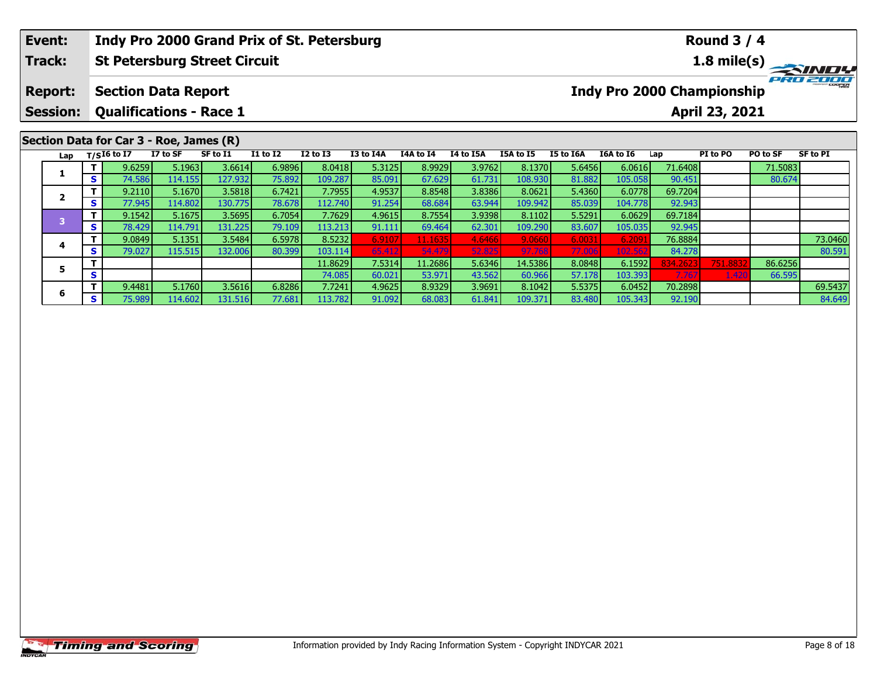| Event: |                                   |          |                                                              |          | Indy Pro 2000 Grand Prix of St. Petersburg |                 |              |           |           |           |           |           |           |         | <b>Round 3 / 4</b>                                  |          |          |
|--------|-----------------------------------|----------|--------------------------------------------------------------|----------|--------------------------------------------|-----------------|--------------|-----------|-----------|-----------|-----------|-----------|-----------|---------|-----------------------------------------------------|----------|----------|
| Track: |                                   |          |                                                              |          | <b>St Petersburg Street Circuit</b>        |                 |              |           |           |           |           |           |           |         |                                                     |          |          |
|        | <b>Report:</b><br><b>Session:</b> |          | <b>Section Data Report</b><br><b>Qualifications - Race 1</b> |          |                                            |                 |              |           |           |           |           |           |           |         | <b>Indy Pro 2000 Championship</b><br>April 23, 2021 |          | PRO 2000 |
|        |                                   |          |                                                              |          |                                            |                 |              |           |           |           |           |           |           |         |                                                     |          |          |
|        |                                   |          | Section Data for Car 3 - Roe, James (R)                      |          |                                            |                 |              |           |           |           |           |           |           |         |                                                     |          |          |
|        | Lap                               |          | T/SI6 to I7                                                  | I7 to SF | SF to I1                                   | <b>I1 to I2</b> | $I2$ to $I3$ | I3 to I4A | I4A to I4 | I4 to I5A | I5A to I5 | I5 to I6A | I6A to I6 | Lap     | PI to PO                                            | PO to SF | SF to PI |
|        |                                   |          | 9.6259                                                       | 5.1963   | 3.6614                                     | 6.9896          | 8.0418       | 5.3125    | 8.9929    | 3.9762    | 8.1370    | 5.6456    | 6.0616    | 71.6408 |                                                     | 71.5083  |          |
|        | 1                                 | <b>S</b> | 74.586                                                       | 114.155  | 127.932                                    | 75.892          | 109.287      | 85.091    | 67.629    | 61.731    | 108.930   | 81.882    | 105.058   | 90.451  |                                                     | 80.674   |          |
|        | $\overline{\mathbf{2}}$           |          | 9.2110                                                       | 5.1670   | 3.5818                                     | 6.7421          | 7.7955       | 4.9537    | 8.8548    | 3.8386    | 8.0621    | 5.4360    | 6.0778    | 69.7204 |                                                     |          |          |
|        |                                   | <b>S</b> | 77.945                                                       | 114.802  | 130.775                                    | 78.678          | 112.740      | 91.254    | 68.684    | 63.944    | 109.942   | 85.039    | 104.778   | 92.943  |                                                     |          |          |
|        | $\overline{\mathbf{3}}$           |          | 9.1542                                                       | 5.1675   | 3.5695                                     | 6.7054          | 7.7629       | 4.9615    | 8.7554    | 3.9398    | 8.1102    | 5.5291    | 6.0629    | 69.7184 |                                                     |          |          |
|        |                                   | <b>S</b> | 78.429                                                       | 114.791  | 131.225                                    | 79.109          | 113.213      | 91.111    | 69.464    | 62.301    | 109.290   | 83.607    | 105.035   | 92.945  |                                                     |          |          |

**<sup>T</sup>** 9.0849 5.1351 3.5484 6.5978 8.5232 6.9107 11.1635 4.6466 9.0660 6.0031 6.2091 76.8884 73.0460 **<sup>S</sup>** 79.027 115.515 132.006 80.399 103.114 65.412 54.479 52.825 97.768 77.006 102.562 84.278 80.591

5 T 9.4481 5.1760 3.5616 6.8286 7.7241 4.9625 8.9329 3.9691 8.1042 5.5375 6.0452 70.2898 69.5437<br>5 S 75.989 114.602 131.516 77.681 113.782 91.092 68.083 61.841 109.371 83.480 105.343 92.190 8

**<sup>T</sup>** 11.8629 7.5314 11.2686 5.6346 14.5386 8.0848 6.1592 834.2623 751.8832 86.6256 **<sup>S</sup>** 74.085 60.021 53.971 43.562 60.966 57.178 103.393 7.767 1.420 66.595

**4**

**5**

**6**

80.591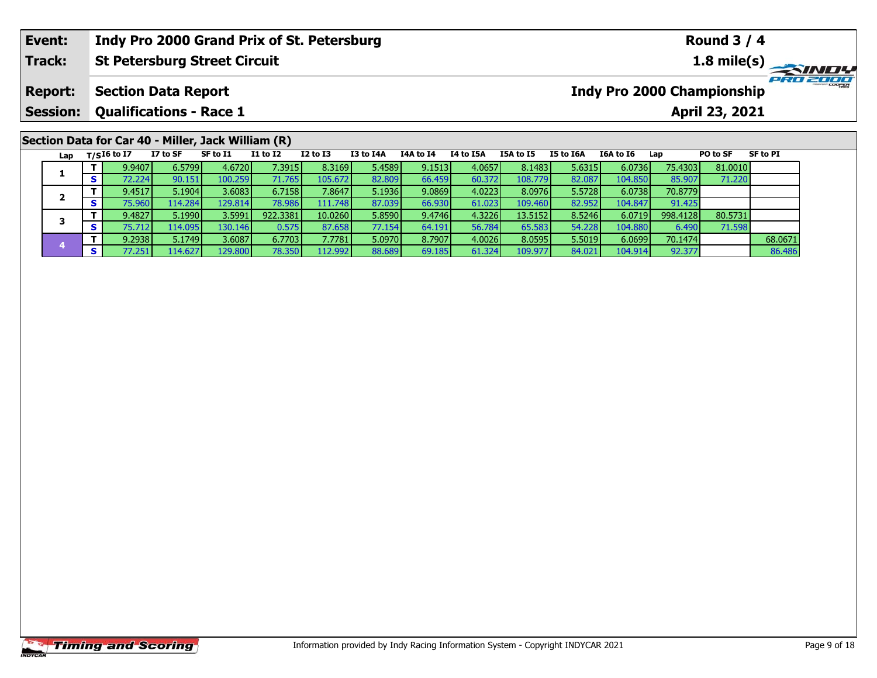| Event:                            |    |               |                                                              |          | Indy Pro 2000 Grand Prix of St. Petersburg |                 |           |           |           |           |                  |                                   |         | <b>Round 3 / 4</b>                   |          |              |
|-----------------------------------|----|---------------|--------------------------------------------------------------|----------|--------------------------------------------|-----------------|-----------|-----------|-----------|-----------|------------------|-----------------------------------|---------|--------------------------------------|----------|--------------|
| <b>Track:</b>                     |    |               | <b>St Petersburg Street Circuit</b>                          |          |                                            |                 |           |           |           |           |                  |                                   |         | 1.8 mile(s) $\overline{\phantom{a}}$ |          | <b>SINDY</b> |
| <b>Report:</b><br><b>Session:</b> |    |               | <b>Section Data Report</b><br><b>Qualifications - Race 1</b> |          |                                            |                 |           |           |           |           |                  | <b>Indy Pro 2000 Championship</b> |         | April 23, 2021                       |          | PRO 2000     |
|                                   |    |               | Section Data for Car 40 - Miller, Jack William (R)           |          |                                            |                 |           |           |           |           |                  |                                   |         |                                      |          |              |
| Lap                               |    | $T/SI6$ to I7 | I7 to SF                                                     | SF to I1 | <b>I1 to I2</b>                            | <b>I2 to I3</b> | I3 to I4A | I4A to I4 | I4 to I5A | I5A to I5 | <b>I5 to I6A</b> | I6A to I6                         | Lap     | PO to SF                             | SF to PI |              |
|                                   |    | 9.9407        | 6.5799                                                       | 4.6720   | 7.3915                                     | 8.3169          | 5.4589    | 9.1513    | 4.0657    | 8.1483    | 5.6315           | 6.0736                            | 75.4303 | 81.0010                              |          |              |
|                                   | s. | 72.224        | 90.151                                                       | 100.259  | 71.765                                     | 105.672         | 82.809    | 66.459    | 60.372    | 108.779   | 82.087           | 104.850                           | 85.907  | 71.220                               |          |              |

**<sup>T</sup>** 9.4517 5.1904 3.6083 6.7158 7.8647 5.1936 9.0869 4.0223 8.0976 5.5728 6.0738 70.8779 **<sup>S</sup>** 75.960 114.284 129.814 78.986 111.748 87.039 66.930 61.023 109.460 82.952 104.847 91.425

**<sup>T</sup>** 9.4827 5.1990 3.5991 922.3381 10.0260 5.8590 9.4746 4.3226 13.5152 8.5246 6.0719 998.4128 80.5731 **<sup>S</sup>** 75.712 114.095 130.146 0.575 87.658 77.154 64.191 56.784 65.583 54.228 104.880 6.490 71.598

**<sup>T</sup>** 9.2938 5.1749 3.6087 6.7703 7.7781 5.0970 8.7907 4.0026 8.0595 5.5019 6.0699 70.1474 68.0671 **<sup>S</sup>** 77.251 114.627 129.800 78.350 112.992 88.689 69.185 61.324 109.977 84.021 104.914 92.377 86.486

**2**

**3**

**4**

91.425<br>998.4128

71.598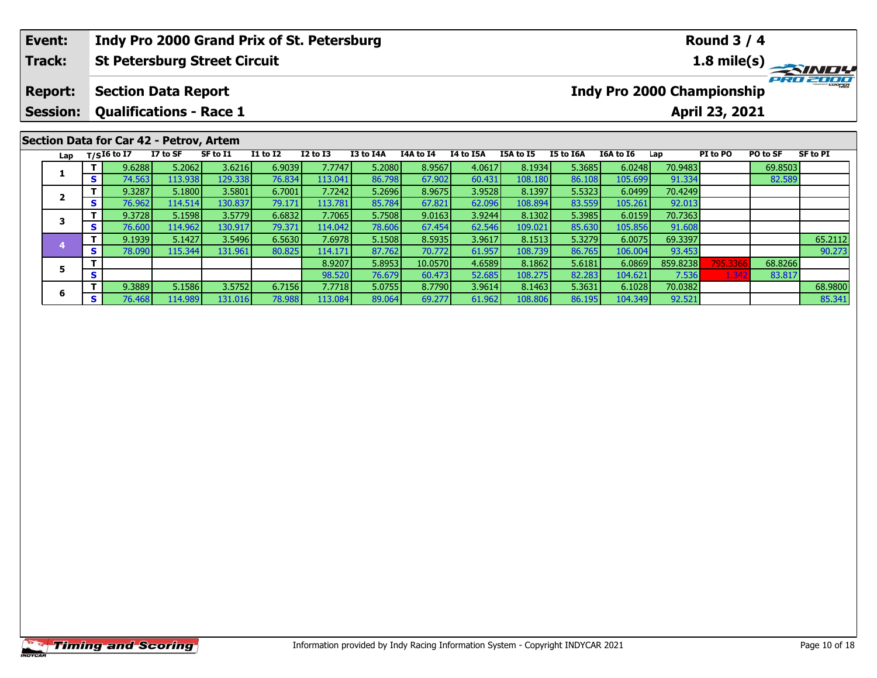| Event:          |          |                   |                                         | Indy Pro 2000 Grand Prix of St. Petersburg |                 |                 |                  |           |                  |           |           |                                   |         | <b>Round 3 / 4</b>    |          |          |
|-----------------|----------|-------------------|-----------------------------------------|--------------------------------------------|-----------------|-----------------|------------------|-----------|------------------|-----------|-----------|-----------------------------------|---------|-----------------------|----------|----------|
| <b>Track:</b>   |          |                   |                                         | <b>St Petersburg Street Circuit</b>        |                 |                 |                  |           |                  |           |           |                                   |         |                       |          |          |
| <b>Report:</b>  |          |                   | <b>Section Data Report</b>              |                                            |                 |                 |                  |           |                  |           |           | <b>Indy Pro 2000 Championship</b> |         |                       |          | PRO 2000 |
| <b>Session:</b> |          |                   | <b>Qualifications - Race 1</b>          |                                            |                 |                 |                  |           |                  |           |           |                                   |         | <b>April 23, 2021</b> |          |          |
|                 |          |                   | Section Data for Car 42 - Petrov, Artem |                                            |                 |                 |                  |           |                  |           |           |                                   |         |                       |          |          |
|                 |          | Lap $T/SI6$ to I7 | I7 to SF                                | SF to I1                                   | <b>I1 to I2</b> | <b>I2 to I3</b> | <b>I3 to I4A</b> | I4A to I4 | <b>I4 to I5A</b> | I5A to I5 | I5 to I6A | I6A to I6                         | Lap     | PI to PO              | PO to SF | SF to PI |
|                 |          | 9.6288            | 5.2062                                  | 3.6216                                     | 6.9039          | 7.7747          | 5.2080           | 8.9567    | 4.0617           | 8.1934    | 5.3685    | 6.0248                            | 70.9483 |                       | 69.8503  |          |
|                 | <b>S</b> | 74.563            | 113.938                                 | 129.338                                    | 76.834          | 113.041         | 86.798           | 67.902    | 60.431           | 108.180   | 86.108    | 105.699 <b>1</b>                  | 91.334  |                       | 82.589   |          |

**<sup>T</sup>** 9.1939 5.1427 3.5496 6.5630 7.6978 5.1508 8.5935 3.9617 8.1513 5.3279 6.0075 69.3397 65.2112 **<sup>S</sup>** 78.090 115.344 131.961 80.825 114.171 87.762 70.772 61.957 108.739 86.765 106.004 93.453 90.273

5 TT 9.3889 5.1586 3.5752| 6.7156| 7.7718| 5.0755| 8.7790| 3.9614| 8.1463| 5.3631| 6.1028| 70.0382| | | | 68.9800<br>| S 76.468 114.989| 131.016| 78.988| 113.084| 89.064| 69.277| 61.962| 108.806| 86.195| 104.349| 92.521|

**<sup>T</sup>** 8.9207 5.8953 10.0570 4.6589 8.1862 5.6181 6.0869 859.8238 795.3366 68.8266 **<sup>S</sup>** 98.520 76.679 60.473 52.685 108.275 82.283 104.621 7.536 1.342 83.817

**<sup>T</sup>** 9.3287 5.1800 3.5801 6.7001 7.7242 5.2696 8.9675 3.9528 8.1397 5.5323 6.0499 70.4249 **<sup>S</sup>** 76.962 114.514 130.837 79.171 113.781 85.784 67.821 62.096 108.894 83.559 105.261 92.013

**<sup>T</sup>** 9.3728 5.1598 3.5779 6.6832 7.7065 5.7508 9.0163 3.9244 8.1302 5.3985 6.0159 70.7363 **<sup>S</sup>** 76.600 114.962 130.917 79.371 114.042 78.606 67.454 62.546 109.021 85.630 105.856 91.608

|                | <b>Timing and Scoring</b> |  |  |
|----------------|---------------------------|--|--|
| <b>INDYCAR</b> |                           |  |  |

**2**

**3**

**4**

**5**

**6**

90.273

83.817

92.013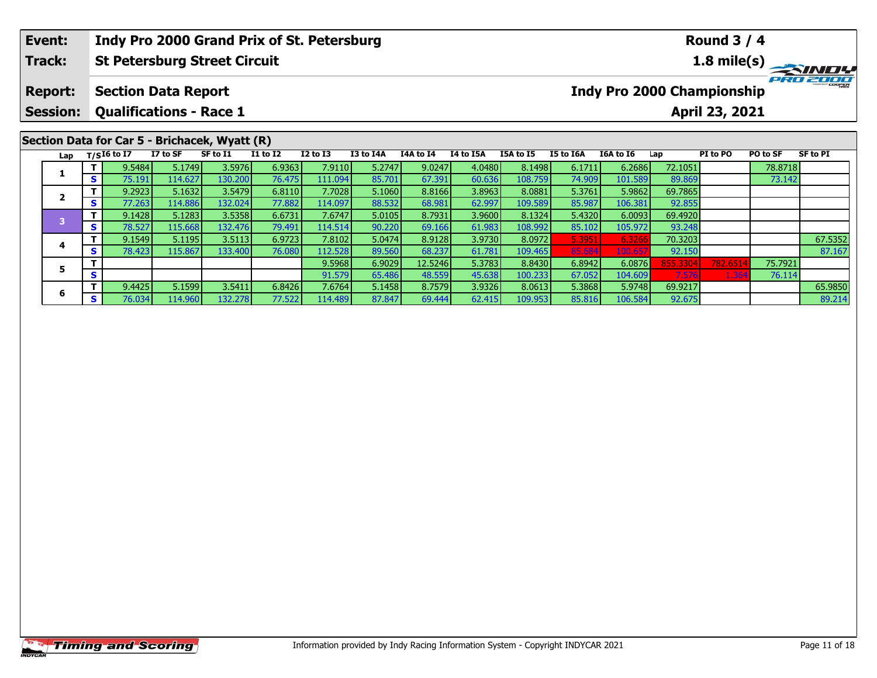| Event:                  |                  |                                |          | Indy Pro 2000 Grand Prix of St. Petersburg                |                 |                 |           |           |           | <b>Round 3 / 4</b> |           |                            |                |          |          |                 |  |  |
|-------------------------|------------------|--------------------------------|----------|-----------------------------------------------------------|-----------------|-----------------|-----------|-----------|-----------|--------------------|-----------|----------------------------|----------------|----------|----------|-----------------|--|--|
| Track:                  |                  |                                |          | <b>St Petersburg Street Circuit</b>                       |                 |                 |           |           |           |                    |           |                            |                |          |          |                 |  |  |
| <b>Report:</b>          |                  | <b>Section Data Report</b>     |          |                                                           |                 |                 |           |           |           |                    |           | Indy Pro 2000 Championship |                |          |          | PRO 2000        |  |  |
| <b>Session:</b>         |                  | <b>Qualifications - Race 1</b> |          |                                                           |                 |                 |           |           |           |                    |           |                            | April 23, 2021 |          |          |                 |  |  |
| Lap                     |                  | T/SI6 to I7                    | I7 to SF | Section Data for Car 5 - Brichacek, Wyatt (R)<br>SF to I1 | <b>I1 to I2</b> | <b>I2 to I3</b> | I3 to I4A | I4A to I4 | I4 to I5A | <b>I5A to I5</b>   | I5 to I6A | I6A to I6                  | Lap            | PI to PO | PO to SF | <b>SF to PI</b> |  |  |
| 1                       |                  | 9.5484                         | 5.1749   | 3.5976                                                    | 6.9363          | 7.9110          | 5.2747    | 9.0247    | 4.0480    | 8.1498             | 6.1711    | 6.2686                     | 72.1051        |          | 78.8718  |                 |  |  |
|                         | S.               | 75.191                         | 114.627  | 130.200                                                   | 76.475          | 111.094         | 85.701    | 67.391    | 60.636    | 108.759            | 74.909    | 101.589                    | 89.869         |          | 73.142   |                 |  |  |
| $\overline{\mathbf{2}}$ |                  | 9.2923                         | 5.1632   | 3.5479                                                    | 6.8110          | 7.7028          | 5.1060    | 8.8166    | 3.8963    | 8.0881             | 5.3761    | 5.9862                     | 69.7865        |          |          |                 |  |  |
|                         | S.               | 77.263                         | 114.886  | 132.024                                                   | 77.882          | 114.097         | 88.532    | 68.981    | 62.997    | 109.589            | 85.987    | 106.381                    | 92.855         |          |          |                 |  |  |
| $\overline{\mathbf{3}}$ | $\mathbf{T}$     | 9.1428                         | 5.1283   | 3.5358                                                    | 6.6731          | 7.6747          | 5.0105    | 8.7931    | 3.9600    | 8.1324             | 5.4320    | 6.0093                     | 69.4920        |          |          |                 |  |  |
|                         | S I              | 78.527                         | 115.668  | 132.476                                                   | 79.491          | 114.514         | 90.220    | 69.166    | 61.983    | 108.992            | 85.102    | 105.972                    | 93.248         |          |          |                 |  |  |
|                         | 9.1549<br>5.1195 |                                |          | 3.5113                                                    | 6.9723          | 7.8102          | 5.0474    | 8.9128    | 3.9730    | 8.0972             | 5.3951    | 6.3266                     | 70.3203        |          |          | 67.5352         |  |  |

**<sup>T</sup>** 9.1549 5.1195 3.5113 6.9723 7.8102 5.0474 8.9128 3.9730 8.0972 5.3951 6.3266 70.3203 67.5352 **<sup>S</sup>** 78.423 115.867 133.400 76.080 112.528 89.560 68.237 61.781 109.465 85.684 100.657 92.150 87.167

**<sup>T</sup>** 9.4425 5.1599 3.5411 6.8426 7.6764 5.1458 8.7579 3.9326 8.0613 5.3868 5.9748 69.9217 65.9850 **<sup>S</sup>** 76.034 114.960 132.278 77.522 114.489 87.847 69.444 62.415 109.953 85.816 106.584 92.675 89.214

**<sup>T</sup>** 9.5968 6.9029 12.5246 5.3783 8.8430 6.8942 6.0876 855.3304 782.6514 75.7921 **<sup>S</sup>** 91.579 65.486 48.559 45.638 100.233 67.052 104.609 7.576 1.364 76.114

## **Timing and Scoring**

**4**

**5**

**6**

87.167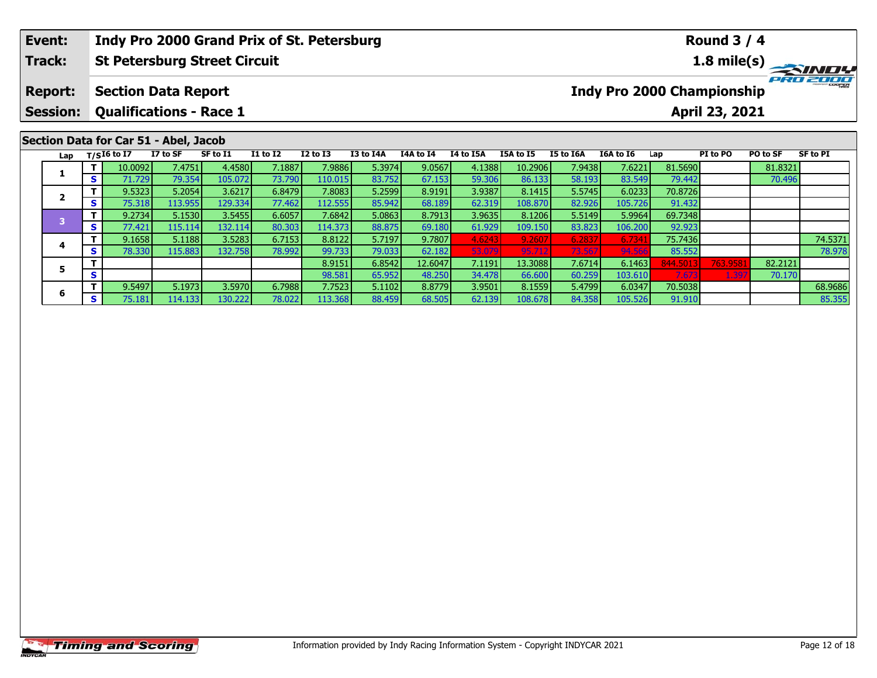| Event:                            |              |                                |                                                              |          |                 | Indy Pro 2000 Grand Prix of St. Petersburg |           |                  |           |                  |           |           |         | <b>Round 3 / 4</b>                                  |                 |          |  |
|-----------------------------------|--------------|--------------------------------|--------------------------------------------------------------|----------|-----------------|--------------------------------------------|-----------|------------------|-----------|------------------|-----------|-----------|---------|-----------------------------------------------------|-----------------|----------|--|
| Track:                            |              |                                | <b>St Petersburg Street Circuit</b>                          |          |                 |                                            |           |                  |           |                  |           |           |         |                                                     |                 |          |  |
| <b>Report:</b><br><b>Session:</b> |              |                                | <b>Section Data Report</b><br><b>Qualifications - Race 1</b> |          |                 |                                            |           |                  |           |                  |           |           |         | <b>Indy Pro 2000 Championship</b><br>April 23, 2021 |                 | PRO 2000 |  |
|                                   |              |                                |                                                              |          |                 |                                            |           |                  |           |                  |           |           |         |                                                     |                 |          |  |
|                                   |              |                                | Section Data for Car 51 - Abel, Jacob                        |          |                 |                                            |           |                  |           |                  |           |           |         |                                                     |                 |          |  |
|                                   |              | Lap $T/SI6$ to $\overline{I7}$ | I7 to SF                                                     | SF to I1 | <b>I1 to I2</b> | $I2$ to $I3$                               | I3 to I4A | <b>I4A to I4</b> | I4 to I5A | <b>I5A to I5</b> | I5 to I6A | I6A to I6 | Lap     | PI to PO                                            | <b>PO to SF</b> | SF to PI |  |
|                                   |              | 10.0092                        | 7.4751                                                       | 4.4580   | 7.1887          | 7.9886                                     | 5.3974    | 9.0567           | 4.1388    | 10.2906          | 7.9438    | 7.6221    | 81.5690 |                                                     | 81.8321         |          |  |
| л.                                | $\mathbf{s}$ | 71.729                         | 79.354                                                       | 105.072  | 73.790          | 110.015                                    | 83.752    | 67.153           | 59.306    | 86.133           | 58.193    | 83.549    | 79.442  |                                                     | 70.496          |          |  |

**T** 9.1658 5.1188 3.5283 6.7153 8.8122 5.7197 9.7807 4.6243 9.2607 6.2837 6.7341 75.7436 74.5371<br>IS 78.330 115.883 132.758 78.992 99.733 79.033 62.182 53.079 95.712 73.567 94.566 85.552 78.

**<sup>T</sup>** 9.5497 5.1973 3.5970 6.7988 7.7523 5.1102 8.8779 3.9501 8.1559 5.4799 6.0347 70.5038 68.9686 **<sup>S</sup>** 75.181 114.133 130.222 78.022 113.368 88.459 68.505 62.139 108.678 84.358 105.526 91.910 85.355

**<sup>T</sup>** 8.9151 6.8542 12.6047 7.1191 13.3088 7.6714 6.1463 844.5013 763.9581 82.2121 **<sup>S</sup>** 98.581 65.952 48.250 34.478 66.600 60.259 103.610 7.673 1.397 70.170

**<sup>T</sup>** 9.5323 5.2054 3.6217 6.8479 7.8083 5.2599 8.9191 3.9387 8.1415 5.5745 6.0233 70.8726 **<sup>S</sup>** 75.318 113.955 129.334 77.462 112.555 85.942 68.189 62.319 108.870 82.926 105.726 91.432

**<sup>T</sup>** 9.2734 5.1530 3.5455 6.6057 7.6842 5.0863 8.7913 3.9635 8.1206 5.5149 5.9964 69.7348 **<sup>S</sup>** 77.421 115.114 132.114 80.303 114.373 88.875 69.180 61.929 109.150 83.823 106.200 92.923

**2**

**4**

**5**

**6**

78.978

70.170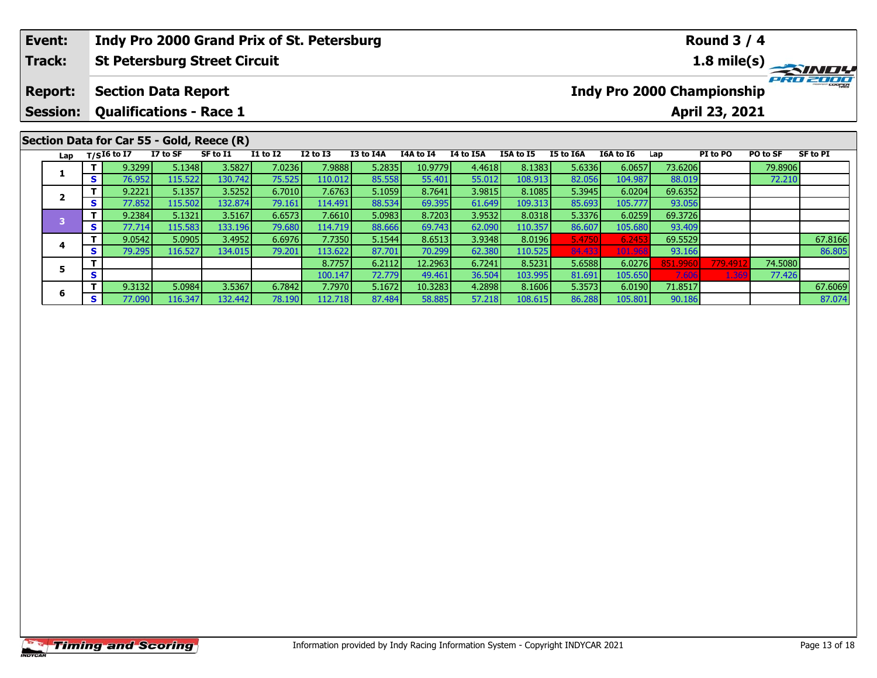| Event:                  |          |                   |                                | Indy Pro 2000 Grand Prix of St. Petersburg |                 |              |           |                  |           | <b>Round 3 / 4</b> |           |                            |                |          |          |                 |  |  |
|-------------------------|----------|-------------------|--------------------------------|--------------------------------------------|-----------------|--------------|-----------|------------------|-----------|--------------------|-----------|----------------------------|----------------|----------|----------|-----------------|--|--|
| Track:                  |          |                   |                                | <b>St Petersburg Street Circuit</b>        |                 |              |           |                  |           |                    |           |                            |                |          |          |                 |  |  |
| <b>Report:</b>          |          |                   | <b>Section Data Report</b>     |                                            |                 |              |           |                  |           |                    |           | Indy Pro 2000 Championship |                |          |          | PRO 2000        |  |  |
| Session:                |          |                   | <b>Qualifications - Race 1</b> |                                            |                 |              |           |                  |           |                    |           |                            | April 23, 2021 |          |          |                 |  |  |
|                         |          |                   |                                | Section Data for Car 55 - Gold, Reece (R)  |                 |              |           |                  |           |                    |           |                            |                |          |          |                 |  |  |
|                         |          | Lap $T/SI6$ to I7 | I7 to SF                       | SF to I1                                   | <b>I1 to I2</b> | $I2$ to $I3$ | I3 to I4A | <b>I4A to I4</b> | I4 to I5A | <b>I5A to I5</b>   | I5 to I6A | I6A to I6                  | Lap            | PI to PO | PO to SF | <b>SF to PI</b> |  |  |
| 1                       |          | 9.3299            | 5.1348                         | 3.5827                                     | 7.0236          | 7.9888       | 5.2835    | 10.9779          | 4.4618    | 8.1383             | 5.6336    | 6.0657                     | 73.6206        |          | 79.8906  |                 |  |  |
|                         | S.       | 76.952            | 115.522                        | 130.742                                    | 75.525          | 110.012      | 85.558    | 55.401           | 55.012    | 108.913            | 82.056    | 104.987                    | 88.019         |          | 72.210   |                 |  |  |
|                         |          | 9.2221            | 5.1357                         | 3.5252                                     | 6.7010          | 7.6763       | 5.1059    | 8.7641           | 3.9815    | 8.1085             | 5.3945    | 6.0204                     | 69.6352        |          |          |                 |  |  |
| $\overline{\mathbf{2}}$ | S.       | 77.852            | 115.502                        | 132.874                                    | 79.161          | 114.491      | 88.534    | 69.395           | 61.649    | 109.313            | 85.693    | 105.777                    | 93.056         |          |          |                 |  |  |
|                         |          | 9.2384            | 5.1321                         | 3.5167                                     | 6.6573          | 7.6610       | 5.0983    | 8.7203           | 3.9532    | 8.0318             | 5.3376    | 6.0259                     | 69.3726        |          |          |                 |  |  |
| $\overline{\mathbf{3}}$ | <b>S</b> | 77.714            | 115.583                        | 133.196                                    | 79.680          | 114.719      | 88.666    | 69.743           | 62.090    | 110.357            | 86.607    | 105.680                    | 93.409         |          |          |                 |  |  |

**<sup>T</sup>** 9.0542 5.0905 3.4952 6.6976 7.7350 5.1544 8.6513 3.9348 8.0196 5.4750 6.2453 69.5529 67.8166 **<sup>S</sup>** 79.295 116.527 134.015 79.201 113.622 87.701 70.299 62.380 110.525 84.433 101.968 93.166 86.805

**<sup>T</sup>** 9.3132 5.0984 3.5367 6.7842 7.7970 5.1672 10.3283 4.2898 8.1606 5.3573 6.0190 71.8517 67.6069 **<sup>S</sup>** 77.090 116.347 132.442 78.190 112.718 87.484 58.885 57.218 108.615 86.288 105.801 90.186 87.074

**<sup>T</sup>** 8.7757 6.2112 12.2963 6.7241 8.5231 5.6588 6.0276 851.9960 779.4912 74.5080 **<sup>S</sup>** 100.147 72.779 49.461 36.504 103.995 81.691 105.650 7.606 1.369 77.426

**4**

**5**

**6**

86.805

77.426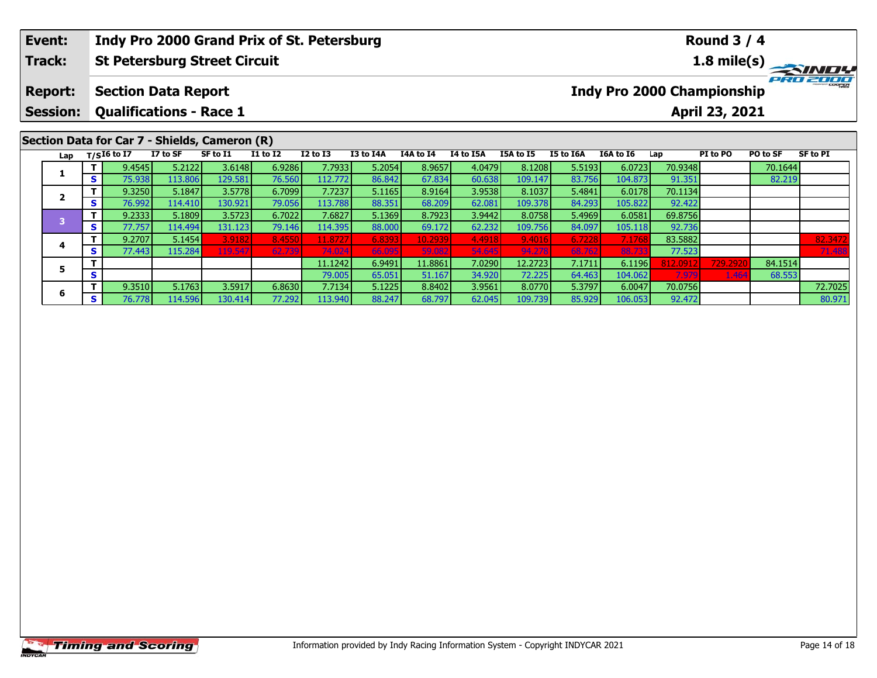| Event:                  |          |                   |                                | Indy Pro 2000 Grand Prix of St. Petersburg    |                 |                 |           |                  |           | <b>Round 3 / 4</b> |                       |                                   |         |                |          |          |  |  |
|-------------------------|----------|-------------------|--------------------------------|-----------------------------------------------|-----------------|-----------------|-----------|------------------|-----------|--------------------|-----------------------|-----------------------------------|---------|----------------|----------|----------|--|--|
| Track:                  |          |                   |                                | <b>St Petersburg Street Circuit</b>           |                 |                 |           |                  |           |                    | $1.8 \text{ mile(s)}$ |                                   |         |                |          |          |  |  |
| <b>Report:</b>          |          |                   | <b>Section Data Report</b>     |                                               |                 |                 |           |                  |           |                    |                       | <b>Indy Pro 2000 Championship</b> |         |                |          | PRO 2000 |  |  |
| Session:                |          |                   | <b>Qualifications - Race 1</b> |                                               |                 |                 |           |                  |           |                    |                       |                                   |         | April 23, 2021 |          |          |  |  |
|                         |          |                   |                                | Section Data for Car 7 - Shields, Cameron (R) |                 |                 |           |                  |           |                    |                       |                                   |         |                |          |          |  |  |
|                         |          | Lap $T/SI6$ to I7 | I7 to SF                       | SF to I1                                      | <b>I1 to I2</b> | <b>I2 to I3</b> | I3 to I4A | <b>I4A to I4</b> | I4 to I5A | <b>I5A to I5</b>   | I5 to I6A             | I6A to I6                         | Lap     | PI to PO       | PO to SF | SF to PI |  |  |
|                         |          | 9.4545            | 5.2122                         | 3.6148                                        | 6.9286          | 7.7933          | 5.2054    | 8.9657           | 4.0479    | 8.1208             | 5.5193                | 6.0723                            | 70.9348 |                | 70.1644  |          |  |  |
| 1                       | S.       | 75.938            | 113.806                        | 129.581                                       | 76.560          | 112.772         | 86.842    | 67.834           | 60.638    | 109.147            | 83.756                | 104.873                           | 91.351  |                | 82.219   |          |  |  |
|                         |          | 9.3250            | 5.1847                         | 3.5778                                        | 6.7099          | 7.7237          | 5.1165    | 8.9164           | 3.9538    | 8.1037             | 5.4841                | 6.0178                            | 70.1134 |                |          |          |  |  |
| $\overline{\mathbf{2}}$ | <b>S</b> | 76.992            | 114.410                        | 130.921                                       | 79.056          | 113.788         | 88.351    | 68.209           | 62.081    | 109.378            | 84.293                | 105.822                           | 92.422  |                |          |          |  |  |
| 3                       |          | 9.2333            | 5.1809                         | 3.5723                                        | 6.7022          | 7.6827          | 5.1369    | 8.7923           | 3.9442    | 8.0758             | 5.4969                | 6.0581                            | 69.8756 |                |          |          |  |  |
|                         | <b>S</b> | 77.757            | 114.4941                       | 131.123                                       | 79.146          | 114.395         | 88,000    | 69.172           | 62.232    | 109.756            | 84.097                | 105.118                           | 92.736  |                |          |          |  |  |

**<sup>T</sup>** 9.2707 5.1454 3.9182 8.4550 11.8727 6.8393 10.2939 4.4918 9.4016 6.7228 7.1768 83.5882 82.3472 **<sup>S</sup>** 77.443 115.284 119.547 62.739 74.024 66.095 59.082 54.645 94.278 68.762 88.733 77.523 71.488

**<sup>T</sup>** 9.3510 5.1763 3.5917 6.8630 7.7134 5.1225 8.8402 3.9561 8.0770 5.3797 6.0047 70.0756 72.7025 **<sup>S</sup>** 76.778 114.596 130.414 77.292 113.940 88.247 68.797 62.045 109.739 85.929 106.053 92.472 80.971

**<sup>T</sup>** 11.1242 6.9491 11.8861 7.0290 12.2723 7.1711 6.1196 812.0912 729.2920 84.1514 **<sup>S</sup>** 79.005 65.051 51.167 34.920 72.225 64.463 104.062 7.979 1.464 68.553

**4**

**5**

**6**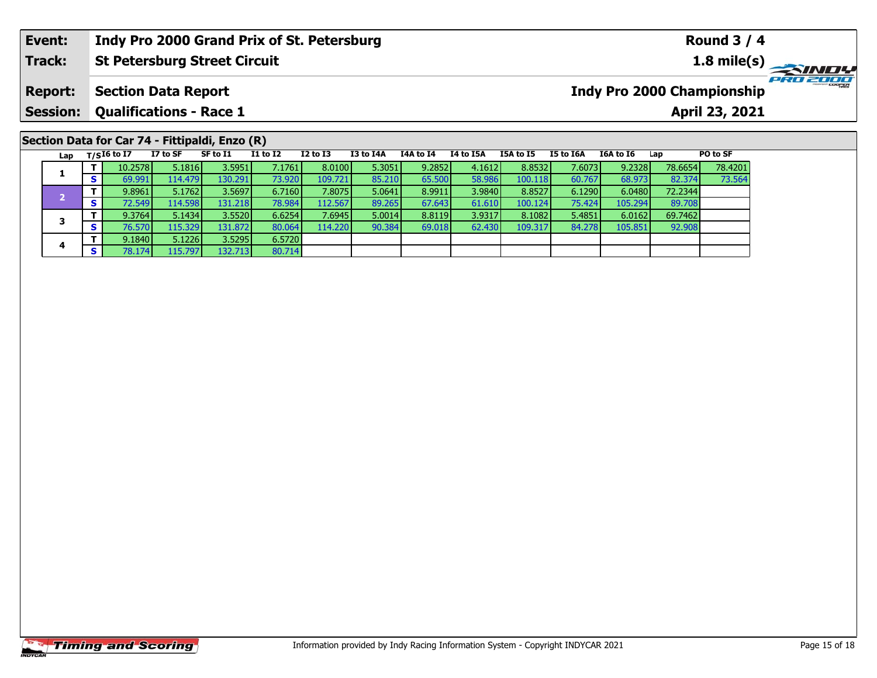## **Event: Indy Pro 2000 Grand Prix of St. Petersburg Round 3 / 4Track:St Petersburg Street Circuit 1.8 mile(s)** PRO ZOOO **Report: Section Data Report Indy Pro 2000 Championship Session: Qualifications - Race 1 April 23, 2021 Section Data for Car 74 - Fittipaldi, Enzo (R)**<br>Lap T/SI6 to I7 I7 to SF SF to I1 II to **Lap T/SI6 to I7 I7 to SF SF to I1 I1 to I2 I2 to I3 I3 to I4A I4A to I4 I4 to I5A I5A to I5 I5 to I6A I6A to I6 Lap PO to SF <sup>T</sup>** 10.2578 5.1816 3.5951 7.1761 8.0100 5.3051 9.2852 4.1612 8.8532 7.6073 9.2328 78.6654 78.4201 **<sup>S</sup>** 69.991 114.479 130.291 73.920 109.721 85.210 65.500 58.986 100.118 60.767 68.973 82.374 73.564

**<sup>T</sup>** 9.8961 5.1762 3.5697 6.7160 7.8075 5.0641 8.9911 3.9840 8.8527 6.1290 6.0480 72.2344 **<sup>S</sup>** 72.549 114.598 131.218 78.984 112.567 89.265 67.643 61.610 100.124 75.424 105.294 89.708

**<sup>T</sup>** 9.3764 5.1434 3.5520 6.6254 7.6945 5.0014 8.8119 3.9317 8.1082 5.4851 6.0162 69.7462 **<sup>S</sup>** 76.570 115.329 131.872 80.064 114.220 90.384 69.018 62.430 109.317 84.278 105.851 92.908

80.714

**1**

**2**

**3**

**4**

**<sup>T</sup>** 9.1840 5.1226 3.5295 6.5720 **<sup>S</sup>** 78.174 115.797 132.713 80.714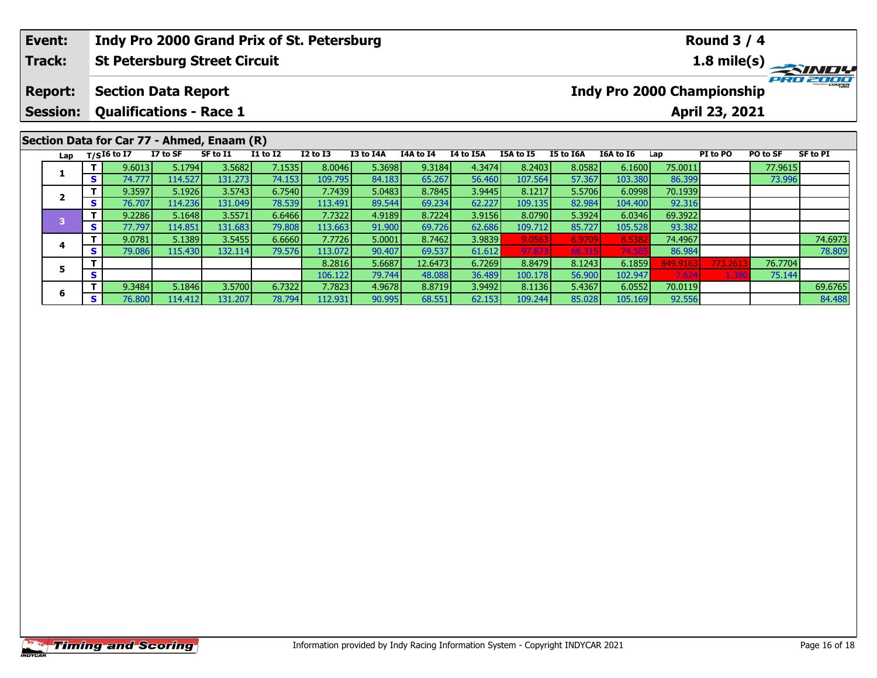| Event:                  |          |             |                                | Indy Pro 2000 Grand Prix of St. Petersburg |                 |                 |           |           |           | <b>Round 3 / 4</b> |           |           |                |                                   |          |          |  |
|-------------------------|----------|-------------|--------------------------------|--------------------------------------------|-----------------|-----------------|-----------|-----------|-----------|--------------------|-----------|-----------|----------------|-----------------------------------|----------|----------|--|
| <b>Track:</b>           |          |             |                                | <b>St Petersburg Street Circuit</b>        |                 |                 |           |           |           |                    |           |           |                |                                   |          |          |  |
| <b>Report:</b>          |          |             | <b>Section Data Report</b>     |                                            |                 |                 |           |           |           |                    |           |           |                | <b>Indy Pro 2000 Championship</b> |          | PRO 2000 |  |
| Session:                |          |             | <b>Qualifications - Race 1</b> |                                            |                 |                 |           |           |           |                    |           |           | April 23, 2021 |                                   |          |          |  |
|                         |          |             |                                | Section Data for Car 77 - Ahmed, Enaam (R) |                 |                 |           |           |           |                    |           |           |                |                                   |          |          |  |
| Lap                     |          | T/SI6 to I7 | I7 to SF                       | SF to I1                                   | <b>I1 to I2</b> | <b>I2 to I3</b> | I3 to I4A | I4A to I4 | I4 to I5A | <b>I5A to I5</b>   | I5 to I6A | I6A to I6 | Lap            | PI to PO                          | PO to SF | SF to PI |  |
|                         |          | 9.6013      | 5.1794                         | 3.5682                                     | 7.1535          | 8.0046          | 5.3698    | 9.3184    | 4.3474    | 8.2403             | 8.0582    | 6.1600    | 75.0011        |                                   | 77.9615  |          |  |
|                         | <b>S</b> | 74.777      | 114.527                        | 131.273                                    | 74.153          | 109.795         | 84.183    | 65.267    | 56.460    | 107.564            | 57.367    | 103.380   | 86.399         |                                   | 73.996   |          |  |
|                         |          | 9.3597      | 5.1926                         | 3.5743                                     | 6.7540          | 7.7439          | 5.0483    | 8.7845    | 3.9445    | 8.1217             | 5.5706    | 6.0998    | 70.1939        |                                   |          |          |  |
| $\overline{\mathbf{2}}$ | S        | 76.707      | 114.236                        | 131.049                                    | 78.539          | 113.491         | 89.544    | 69.234    | 62.227    | 109.135            | 82.984    | 104.400   | 92.316         |                                   |          |          |  |
| 3                       |          | 9.2286      | 5.1648                         | 3.5571                                     | 6.6466          | 7.7322          | 4.9189    | 8.7224    | 3.9156    | 8.0790             | 5.3924    | 6.0346    | 69.3922        |                                   |          |          |  |
|                         | <b>S</b> | 77.797      | 114.851                        | 131.683                                    | 79.808          | 113.663         | 91.900    | 69.726    | 62.686    | 109.712            | 85.727    | 105.528   | 93.382         |                                   |          |          |  |

**<sup>T</sup>** 9.0781 5.1389 3.5455 6.6660 7.7726 5.0001 8.7462 3.9839 9.0563 6.9709 8.5382 74.4967 74.6973 **<sup>S</sup>** 79.086 115.430 132.114 79.576 113.072 90.407 69.537 61.612 97.873 66.315 74.585 86.984 78.809

**<sup>T</sup>** 9.3484 5.1846 3.5700 6.7322 7.7823 4.9678 8.8719 3.9492 8.1136 5.4367 6.0552 70.0119 69.6765 **<sup>S</sup>** 76.800 114.412 131.207 78.794 112.931 90.995 68.551 62.153 109.244 85.028 105.169 92.556 84.488

**<sup>T</sup>** 8.2816 5.6687 12.6473 6.7269 8.8479 8.1243 6.1859 849.9163 773.2613 76.7704 **<sup>S</sup>** 106.122 79.744 48.088 36.489 100.178 56.900 102.947 7.624 1.380 75.144

**4**

**5**

**6**

78.809

75.144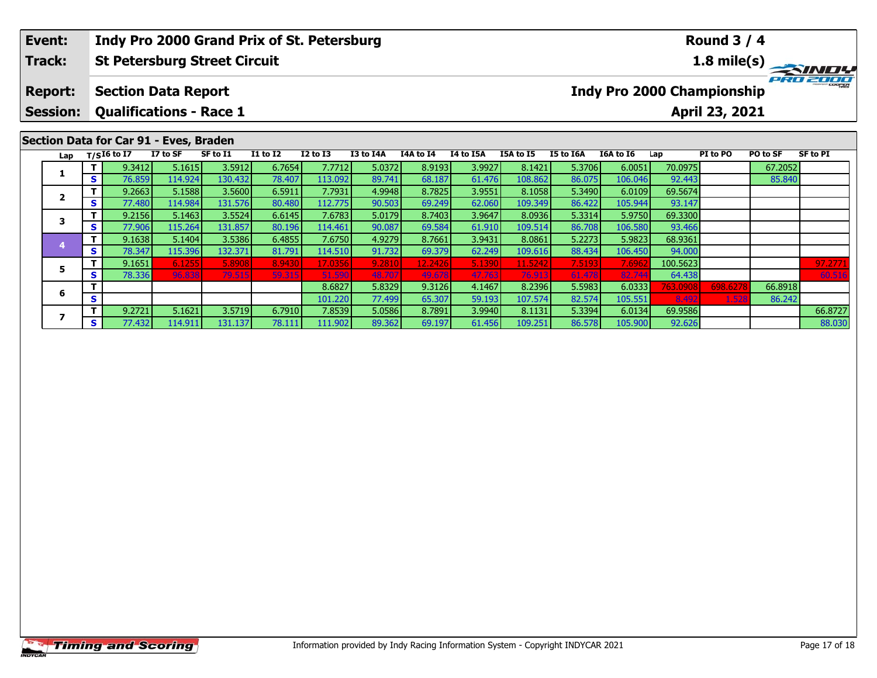| Event:          |                                |                                        | Indy Pro 2000 Grand Prix of St. Petersburg |                 |              |           |                  |           |                  |           |           |         | <b>Round 3 / 4</b>                |          |                 |
|-----------------|--------------------------------|----------------------------------------|--------------------------------------------|-----------------|--------------|-----------|------------------|-----------|------------------|-----------|-----------|---------|-----------------------------------|----------|-----------------|
| Track:          |                                |                                        | <b>St Petersburg Street Circuit</b>        |                 |              |           |                  |           |                  |           |           |         |                                   |          |                 |
| <b>Report:</b>  |                                | <b>Section Data Report</b>             |                                            |                 |              |           |                  |           |                  |           |           |         | <b>Indy Pro 2000 Championship</b> |          | PRO 200er       |
| <b>Session:</b> |                                | <b>Qualifications - Race 1</b>         |                                            |                 |              |           |                  |           |                  |           |           |         | April 23, 2021                    |          |                 |
|                 |                                |                                        |                                            |                 |              |           |                  |           |                  |           |           |         |                                   |          |                 |
|                 |                                | Section Data for Car 91 - Eves, Braden |                                            |                 |              |           |                  |           |                  |           |           |         |                                   |          |                 |
|                 |                                |                                        |                                            |                 |              |           |                  |           |                  |           |           |         |                                   |          |                 |
|                 | Lap $T/SI6$ to $\overline{I7}$ | I7 to SF                               | SF to I1                                   | <b>I1 to I2</b> | $I2$ to $I3$ | I3 to I4A | <b>I4A to I4</b> | I4 to I5A | <b>I5A to I5</b> | I5 to I6A | I6A to I6 | Lap     | PI to PO                          | PO to SF | <b>SF to PI</b> |
|                 | 9.3412                         | 5.1615                                 | 3.5912                                     | 6.7654          | 7.7712       | 5.0372    | 8.9193           | 3.9927    | 8.1421           | 5.3706    | 6.0051    | 70.0975 |                                   | 67.2052  |                 |

5 T 9.1651 6.1255| 5.8908| 8.9430| 17.0356| 9.2810| 12.2426| 5.1390| 11.5242| 7.5193| 7.6962| 100.5623| | 97.2771<br>S 78.336| 96.838| 79.515 59.315 51.590 48.707 49.678 47.763 76.913 61.478 82.744 64.438 60.516

**<sup>T</sup>** 9.2721 5.1621 3.5719 6.7910 7.8539 5.0586 8.7891 3.9940 8.1131 5.3394 6.0134 69.9586 66.8727 **<sup>S</sup>** 77.432 114.911 131.137 78.111 111.902 89.362 69.197 61.456 109.251 86.578 105.900 92.626 88.030

**<sup>T</sup>** 8.6827 5.8329 9.3126 4.1467 8.2396 5.5983 6.0333 763.0908 698.6278 66.8918 **<sup>S</sup>** 101.220 77.499 65.307 59.193 107.574 82.574 105.551 8.492 1.528 86.242

**<sup>T</sup>** 9.2663 5.1588 3.5600 6.5911 7.7931 4.9948 8.7825 3.9551 8.1058 5.3490 6.0109 69.5674 **<sup>S</sup>** 77.480 114.984 131.576 80.480 112.775 90.503 69.249 62.060 109.349 86.422 105.944 93.147

**<sup>T</sup>** 9.2156 5.1463 3.5524 6.6145 7.6783 5.0179 8.7403 3.9647 8.0936 5.3314 5.9750 69.3300 **<sup>S</sup>** 77.906 115.264 131.857 80.196 114.461 90.087 69.584 61.910 109.514 86.708 106.580 93.466

**<sup>T</sup>** 9.1638 5.1404 3.5386 6.4855 7.6750 4.9279 8.7661 3.9431 8.0861 5.2273 5.9823 68.9361 **<sup>S</sup>** 78.347 115.396 132.371 81.791 114.510 91.732 69.379 62.249 109.616 88.434 106.450 94.000

**2**

**3**

**4**

**5**

**6**

**7**

 $\frac{97.277}{60.51}$ 

88.030

93.147